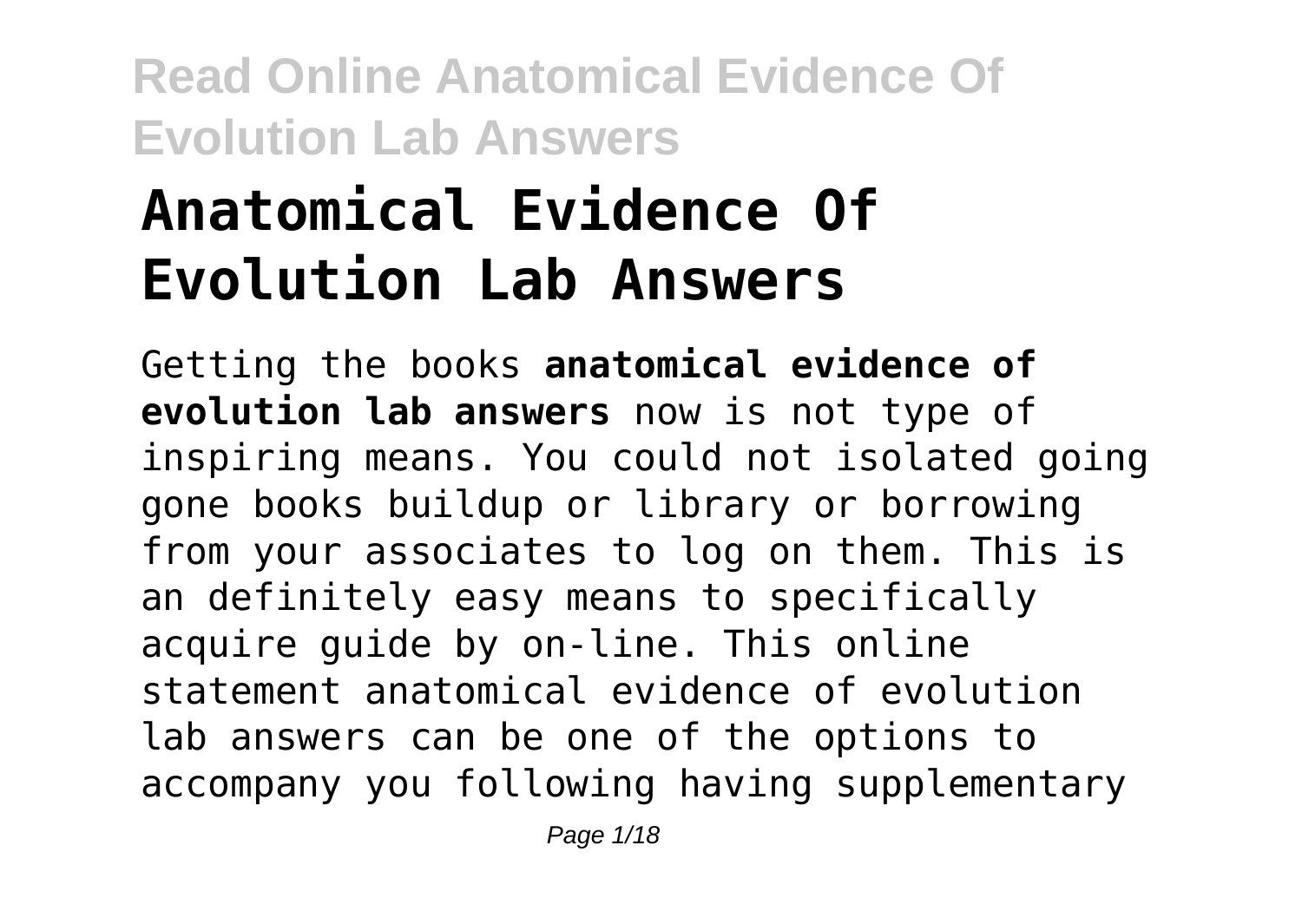# **Anatomical Evidence Of Evolution Lab Answers**

Getting the books **anatomical evidence of evolution lab answers** now is not type of inspiring means. You could not isolated going gone books buildup or library or borrowing from your associates to log on them. This is an definitely easy means to specifically acquire guide by on-line. This online statement anatomical evidence of evolution lab answers can be one of the options to accompany you following having supplementary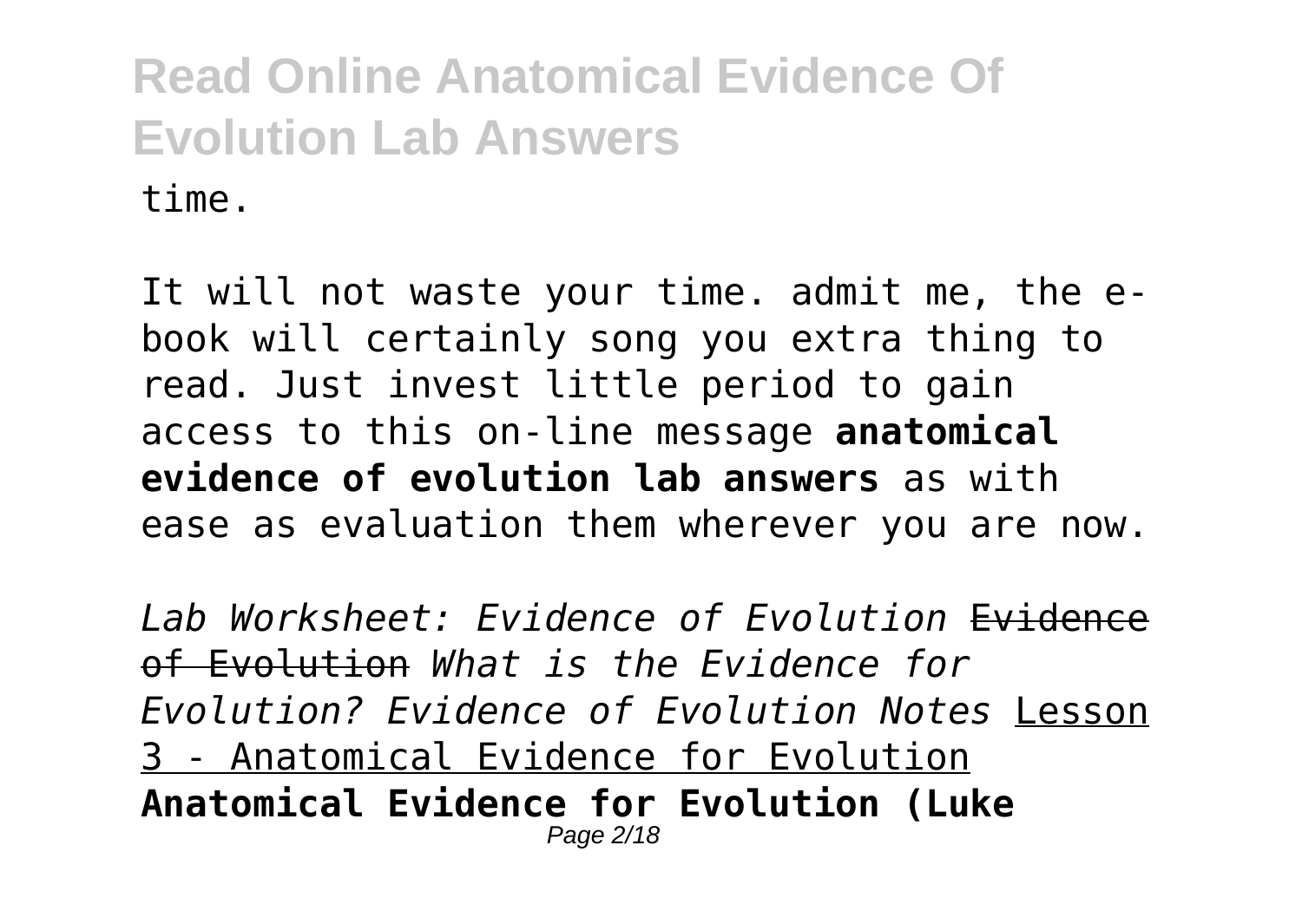It will not waste your time. admit me, the ebook will certainly song you extra thing to read. Just invest little period to gain access to this on-line message **anatomical evidence of evolution lab answers** as with ease as evaluation them wherever you are now.

*Lab Worksheet: Evidence of Evolution* Evidence of Evolution *What is the Evidence for Evolution? Evidence of Evolution Notes* Lesson 3 - Anatomical Evidence for Evolution **Anatomical Evidence for Evolution (Luke** Page 2/18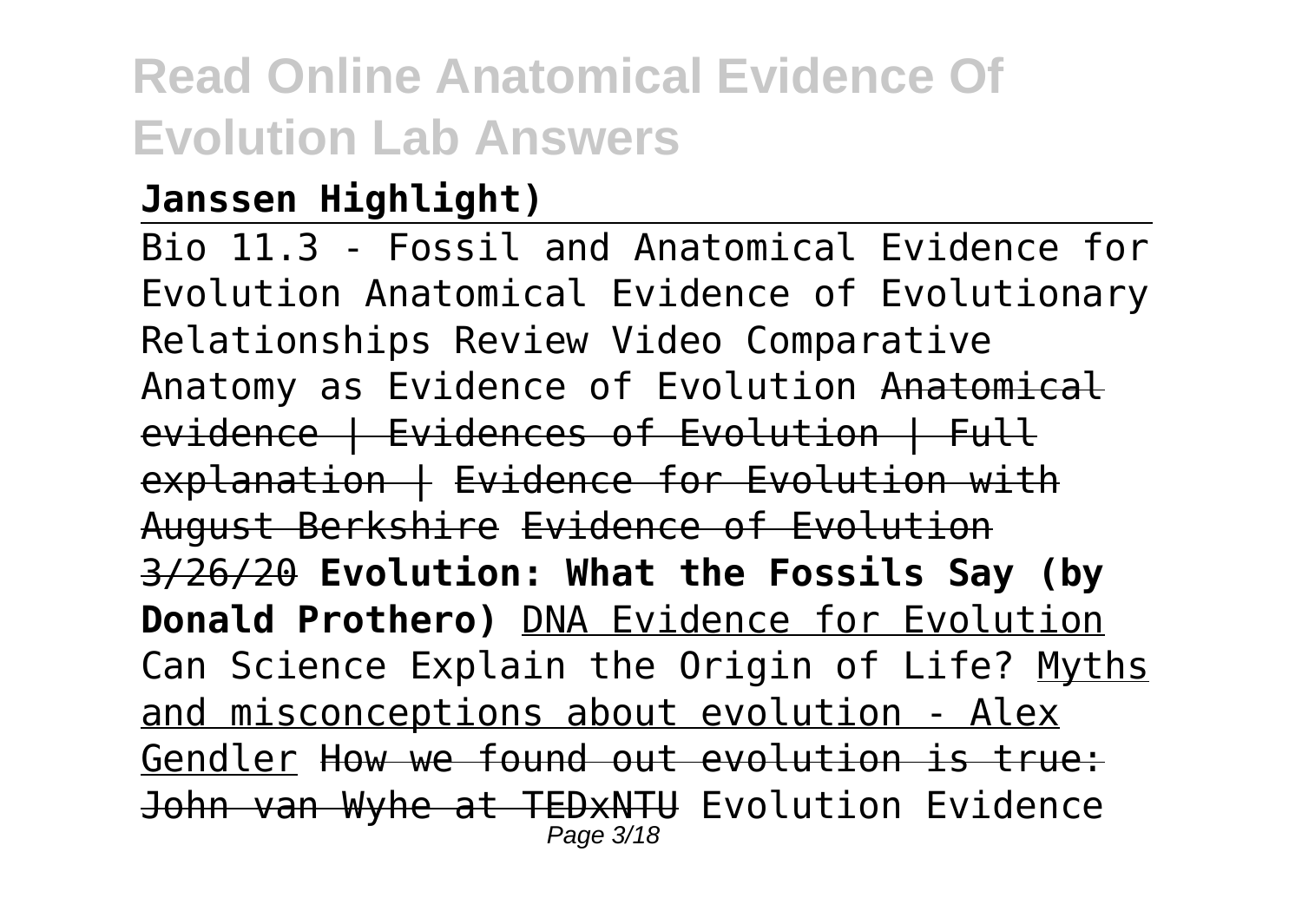### **Janssen Highlight)**

Bio 11.3 - Fossil and Anatomical Evidence for Evolution Anatomical Evidence of Evolutionary Relationships Review Video Comparative Anatomy as Evidence of Evolution Anatomical evidence | Evidences of Evolution | Full explanation | Evidence for Evolution with August Berkshire Evidence of Evolution 3/26/20 **Evolution: What the Fossils Say (by Donald Prothero)** DNA Evidence for Evolution Can Science Explain the Origin of Life? Myths and misconceptions about evolution - Alex Gendler How we found out evolution is true: John van Wyhe at TEDxNTU Evolution Evidence Page 3/18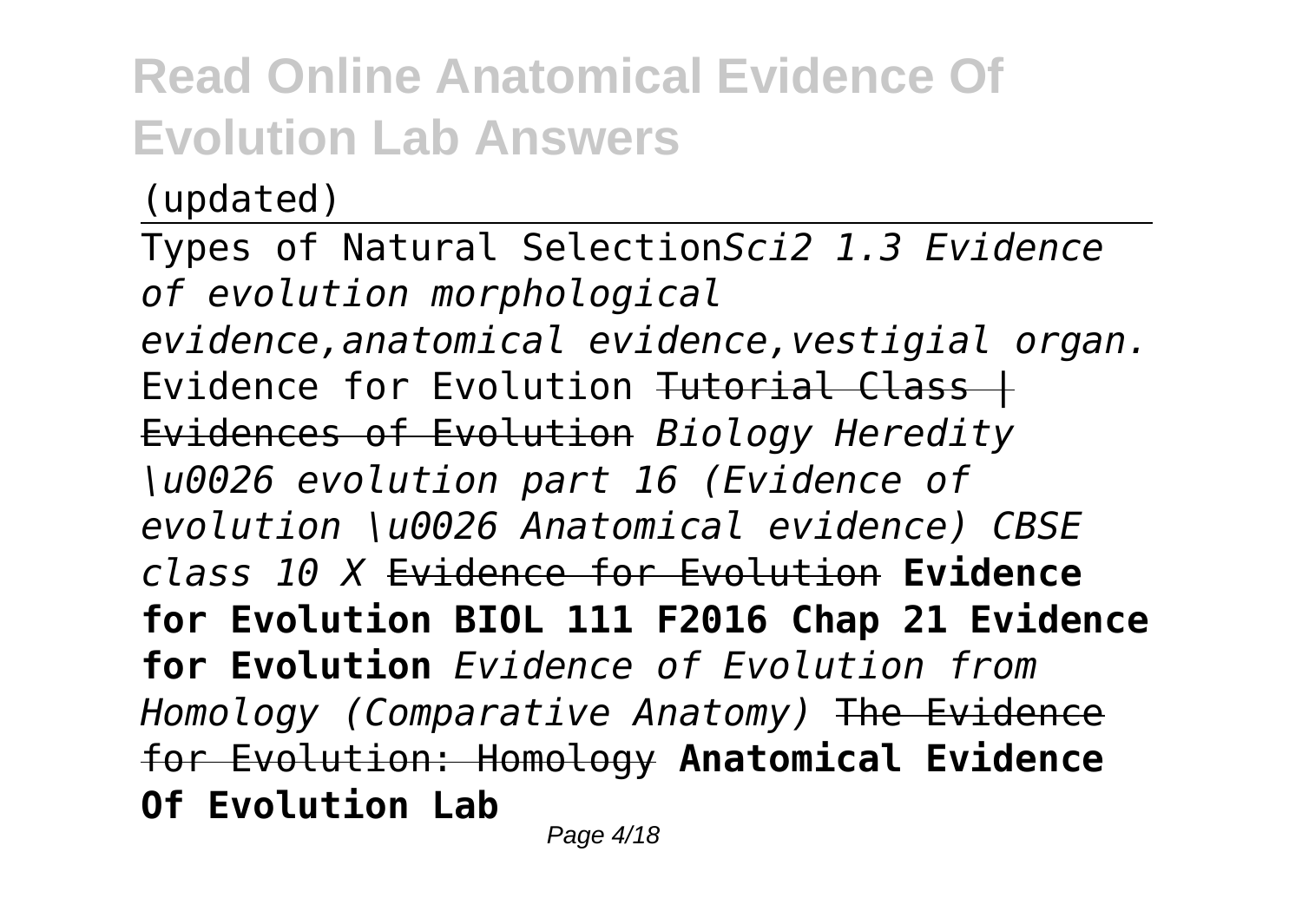(updated)

Types of Natural Selection*Sci2 1.3 Evidence of evolution morphological evidence,anatomical evidence,vestigial organ.* Evidence for Evolution Tutorial Class + Evidences of Evolution *Biology Heredity \u0026 evolution part 16 (Evidence of evolution \u0026 Anatomical evidence) CBSE class 10 X* Evidence for Evolution **Evidence for Evolution BIOL 111 F2016 Chap 21 Evidence for Evolution** *Evidence of Evolution from Homology (Comparative Anatomy)* The Evidence for Evolution: Homology **Anatomical Evidence Of Evolution Lab** Page 4/18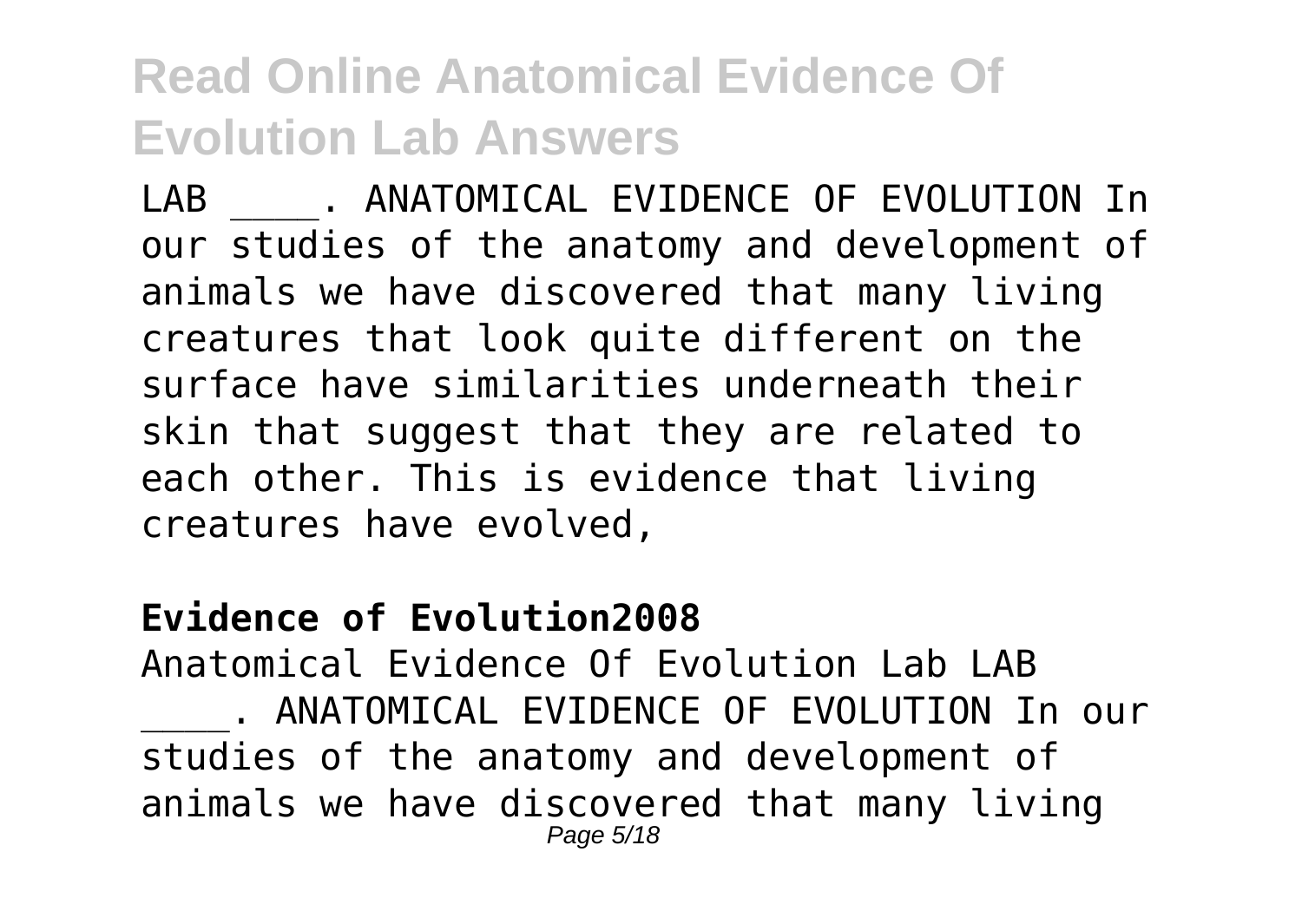LAB \_\_\_\_. ANATOMICAL EVIDENCE OF EVOLUTION In our studies of the anatomy and development of animals we have discovered that many living creatures that look quite different on the surface have similarities underneath their skin that suggest that they are related to each other. This is evidence that living creatures have evolved,

#### **Evidence of Evolution2008**

Anatomical Evidence Of Evolution Lab LAB . ANATOMICAL EVIDENCE OF EVOLUTION In our studies of the anatomy and development of animals we have discovered that many living Page 5/18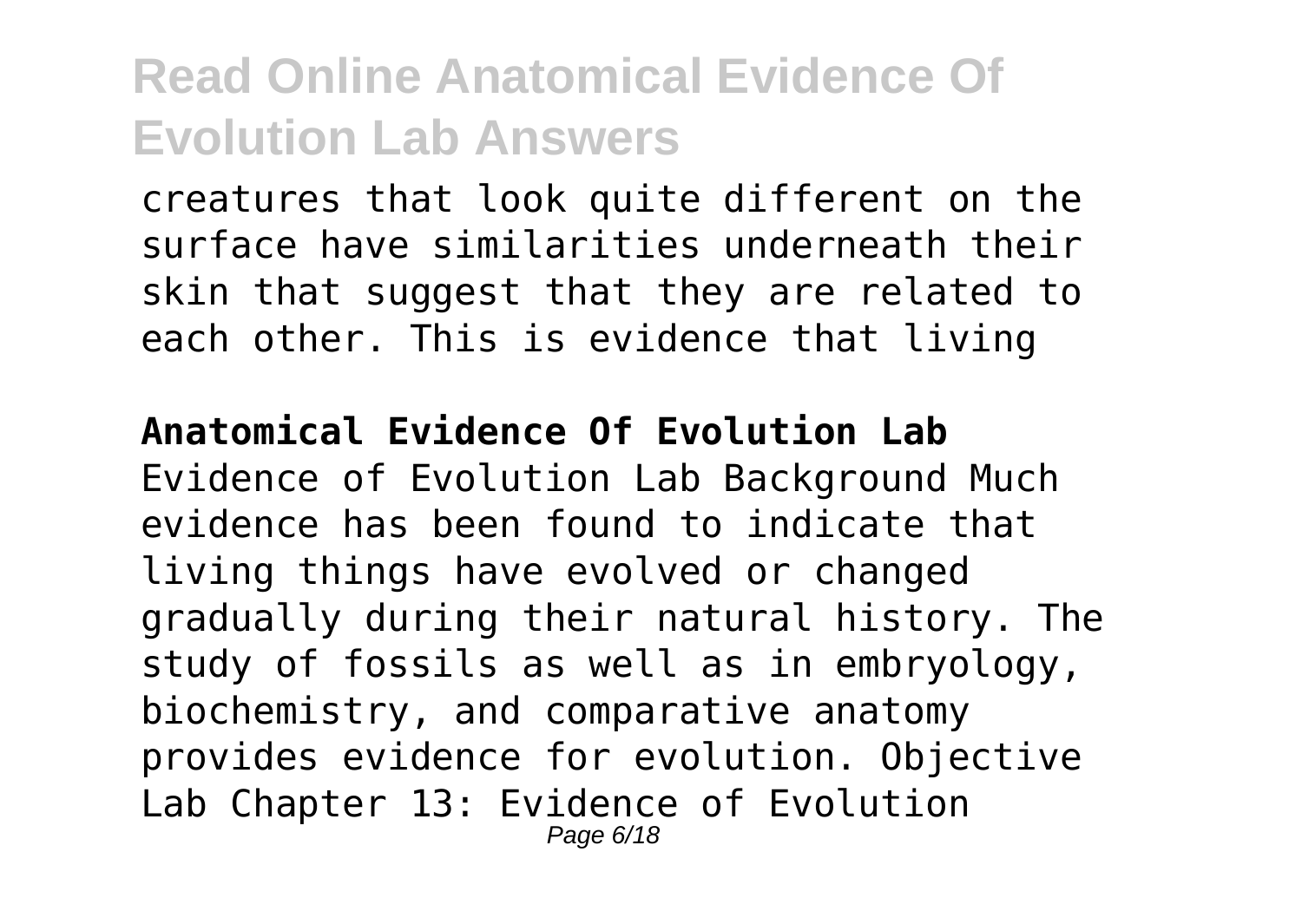creatures that look quite different on the surface have similarities underneath their skin that suggest that they are related to each other. This is evidence that living

#### **Anatomical Evidence Of Evolution Lab**

Evidence of Evolution Lab Background Much evidence has been found to indicate that living things have evolved or changed gradually during their natural history. The study of fossils as well as in embryology, biochemistry, and comparative anatomy provides evidence for evolution. Objective Lab Chapter 13: Evidence of Evolution Page 6/18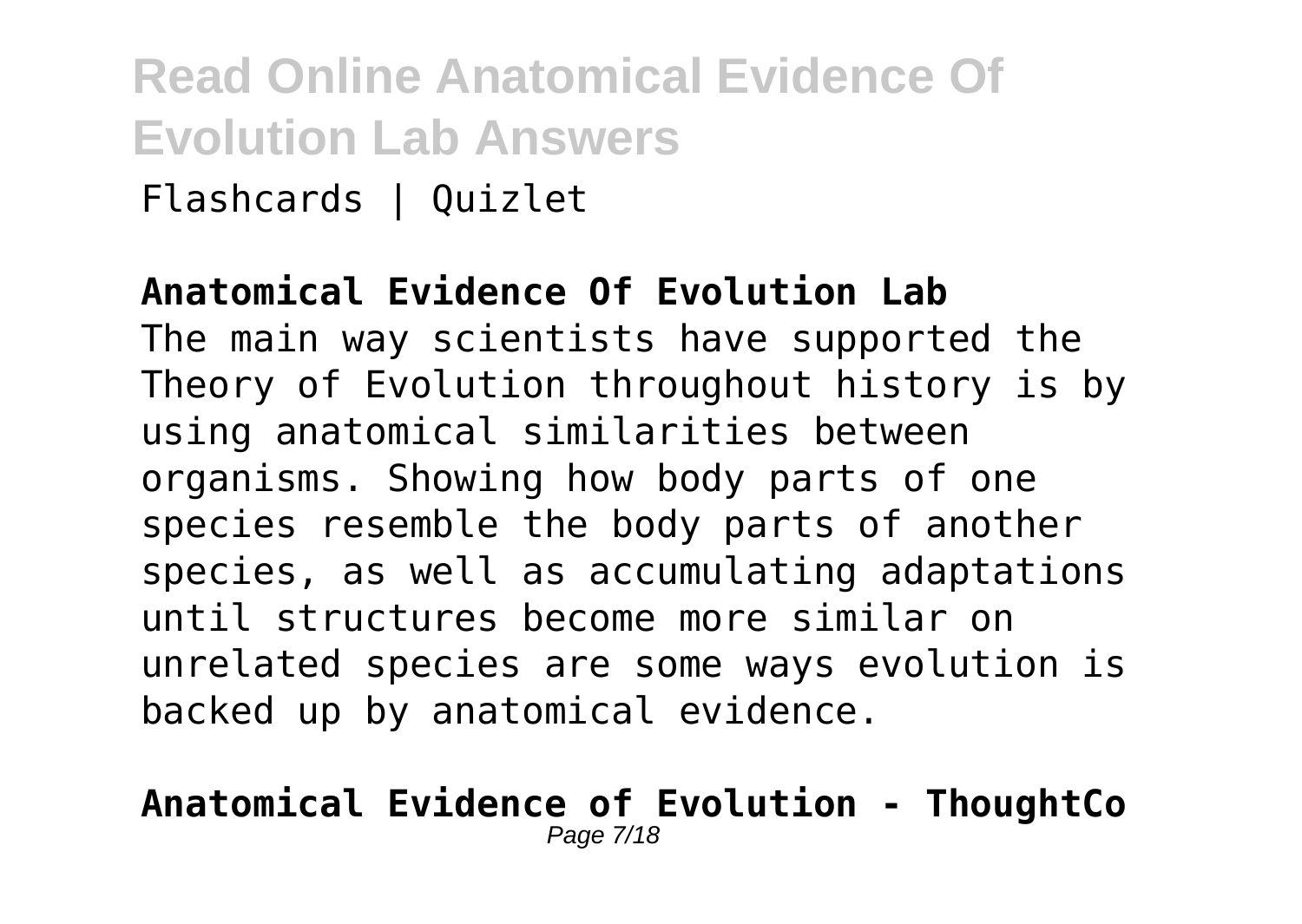Flashcards | Quizlet

#### **Anatomical Evidence Of Evolution Lab**

The main way scientists have supported the Theory of Evolution throughout history is by using anatomical similarities between organisms. Showing how body parts of one species resemble the body parts of another species, as well as accumulating adaptations until structures become more similar on unrelated species are some ways evolution is backed up by anatomical evidence.

#### **Anatomical Evidence of Evolution - ThoughtCo** Page 7/18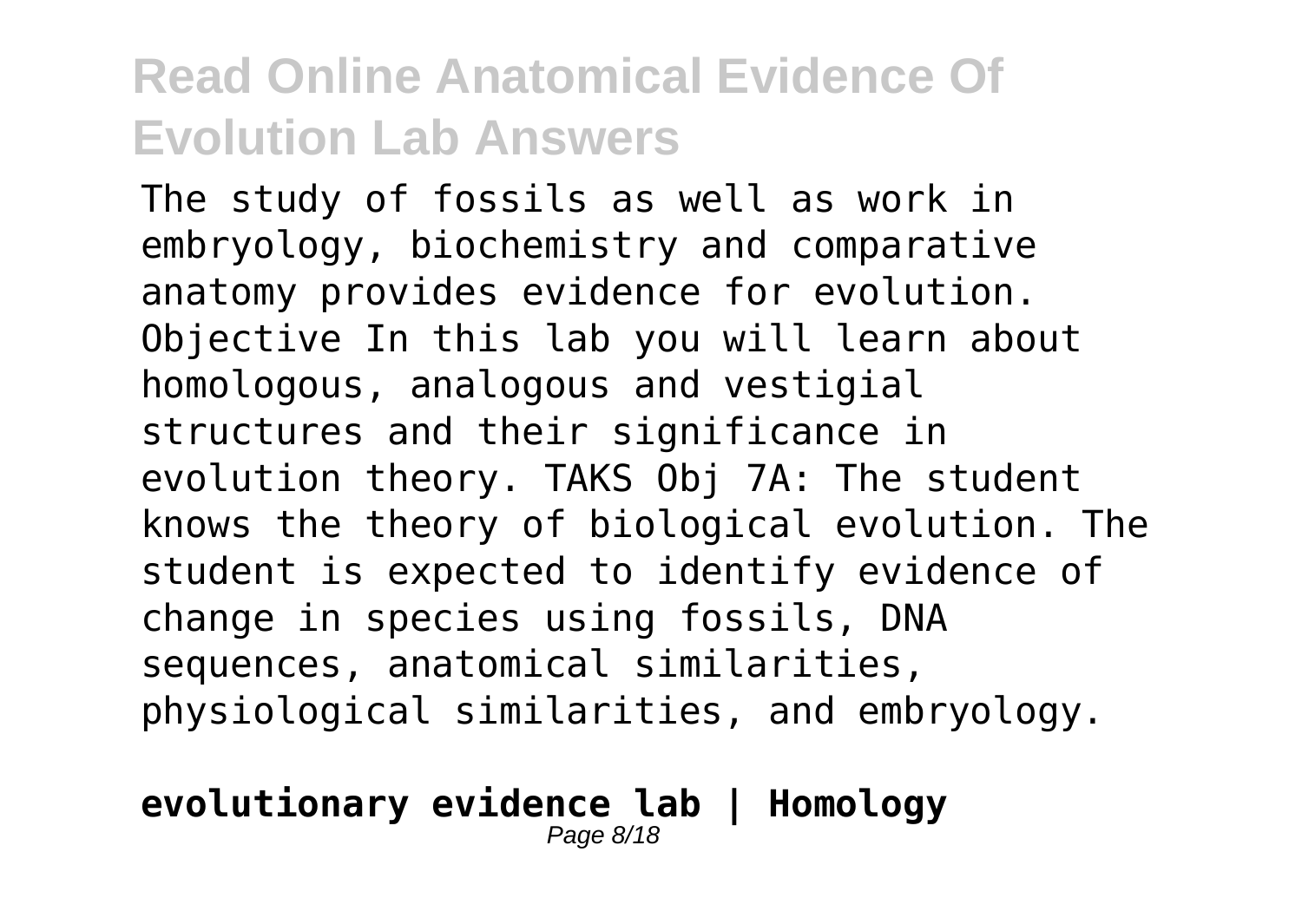The study of fossils as well as work in embryology, biochemistry and comparative anatomy provides evidence for evolution. Objective In this lab you will learn about homologous, analogous and vestigial structures and their significance in evolution theory. TAKS Obj 7A: The student knows the theory of biological evolution. The student is expected to identify evidence of change in species using fossils, DNA sequences, anatomical similarities, physiological similarities, and embryology.

#### **evolutionary evidence lab | Homology** Page 8/18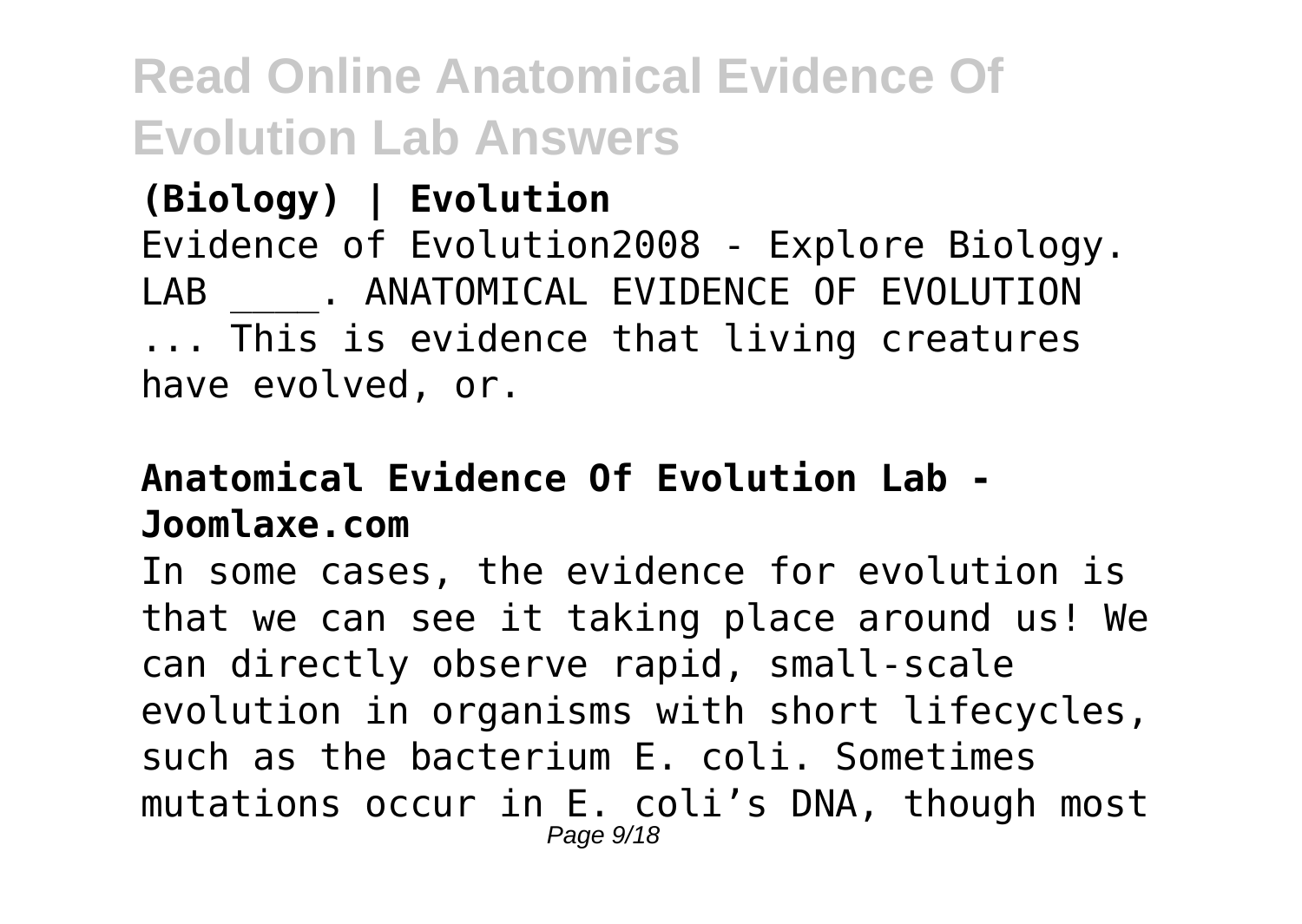**(Biology) | Evolution** Evidence of Evolution2008 - Explore Biology. LAB . ANATOMICAL EVIDENCE OF EVOLUTION ... This is evidence that living creatures have evolved, or.

### **Anatomical Evidence Of Evolution Lab - Joomlaxe.com**

In some cases, the evidence for evolution is that we can see it taking place around us! We can directly observe rapid, small-scale evolution in organisms with short lifecycles, such as the bacterium E. coli. Sometimes mutations occur in E. coli's DNA, though most Page  $9/18$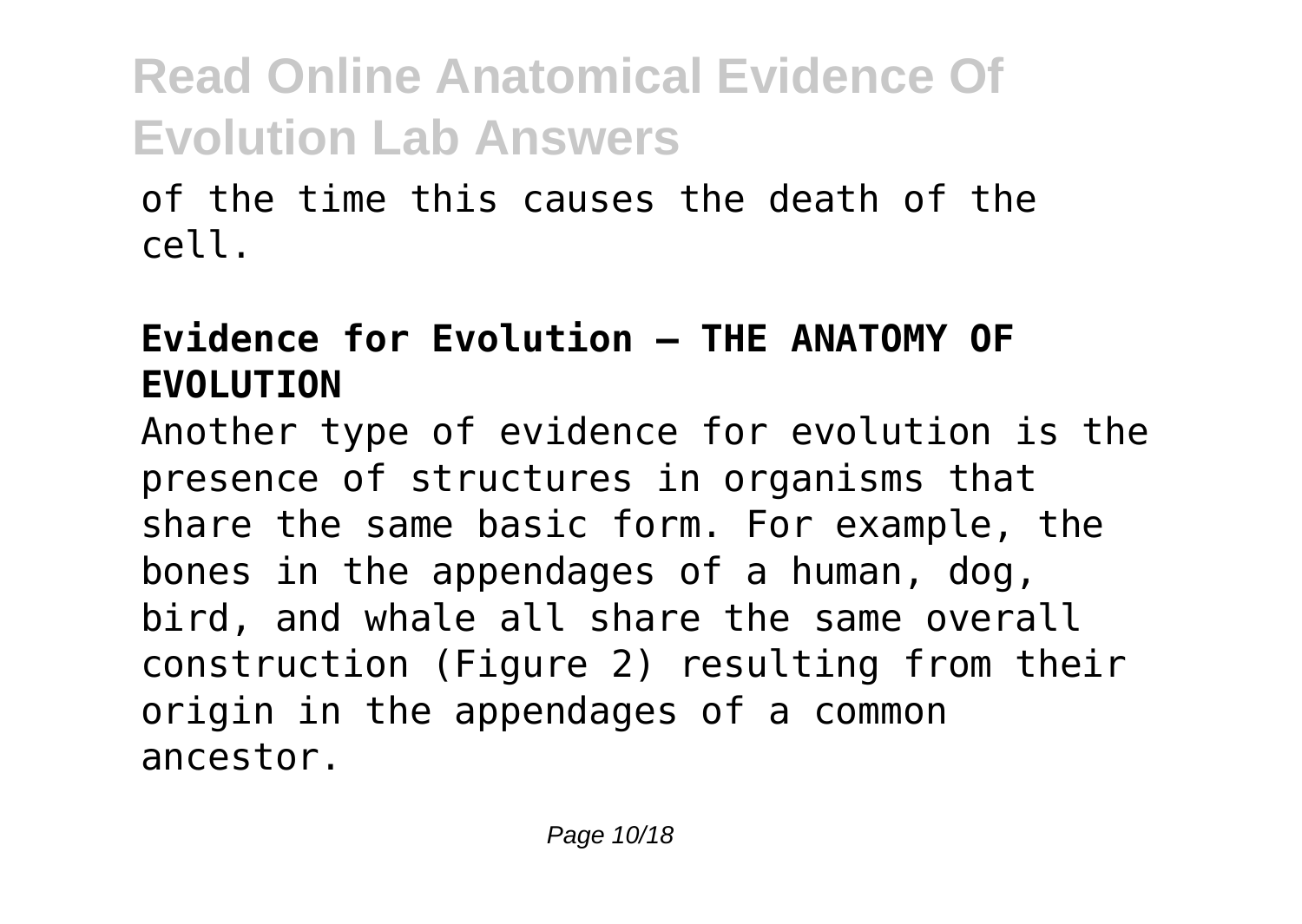of the time this causes the death of the cell.

### **Evidence for Evolution — THE ANATOMY OF EVOLUTION**

Another type of evidence for evolution is the presence of structures in organisms that share the same basic form. For example, the bones in the appendages of a human, dog, bird, and whale all share the same overall construction (Figure 2) resulting from their origin in the appendages of a common ancestor.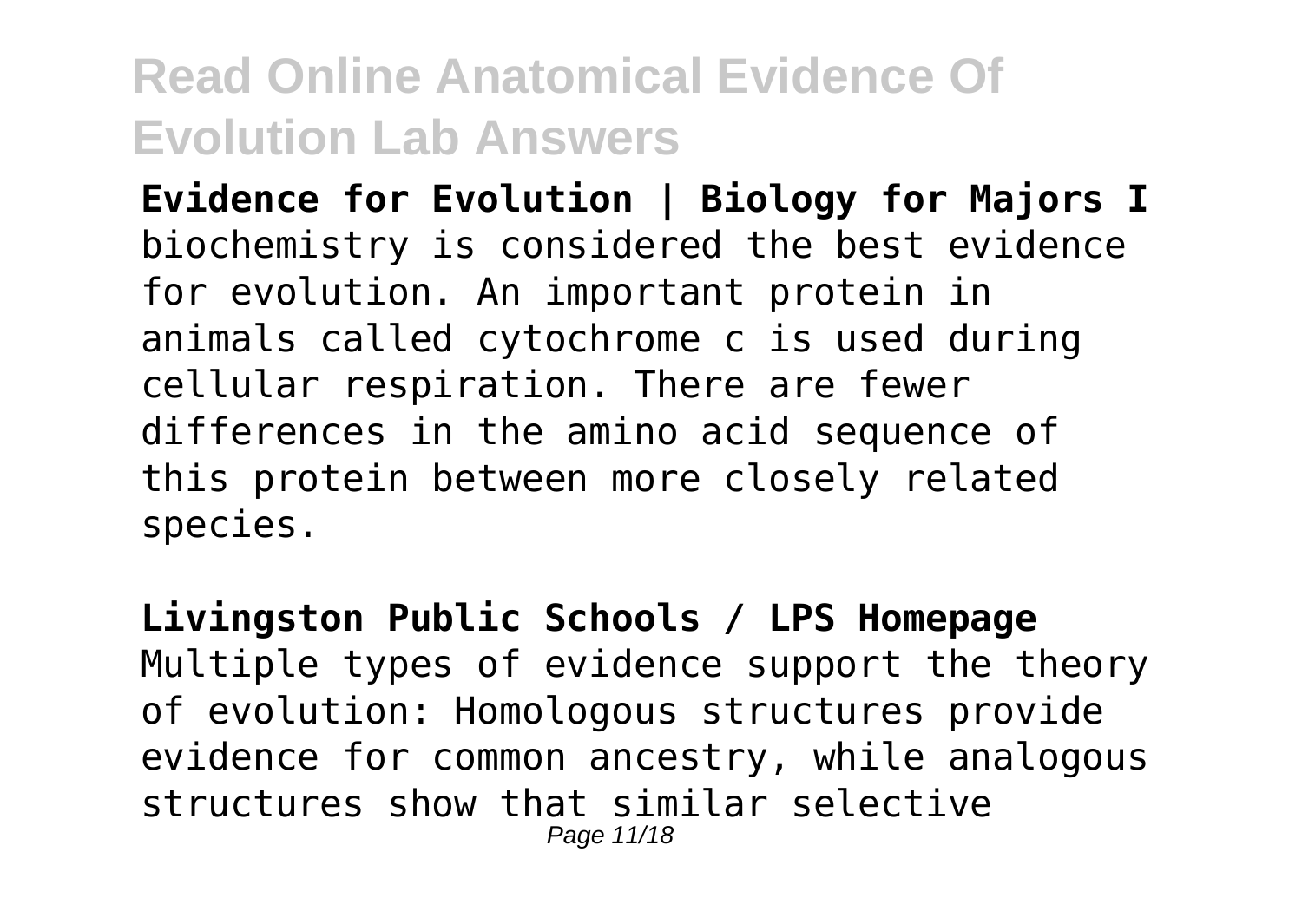**Evidence for Evolution | Biology for Majors I** biochemistry is considered the best evidence for evolution. An important protein in animals called cytochrome c is used during cellular respiration. There are fewer differences in the amino acid sequence of this protein between more closely related species.

**Livingston Public Schools / LPS Homepage** Multiple types of evidence support the theory of evolution: Homologous structures provide evidence for common ancestry, while analogous structures show that similar selective Page 11/18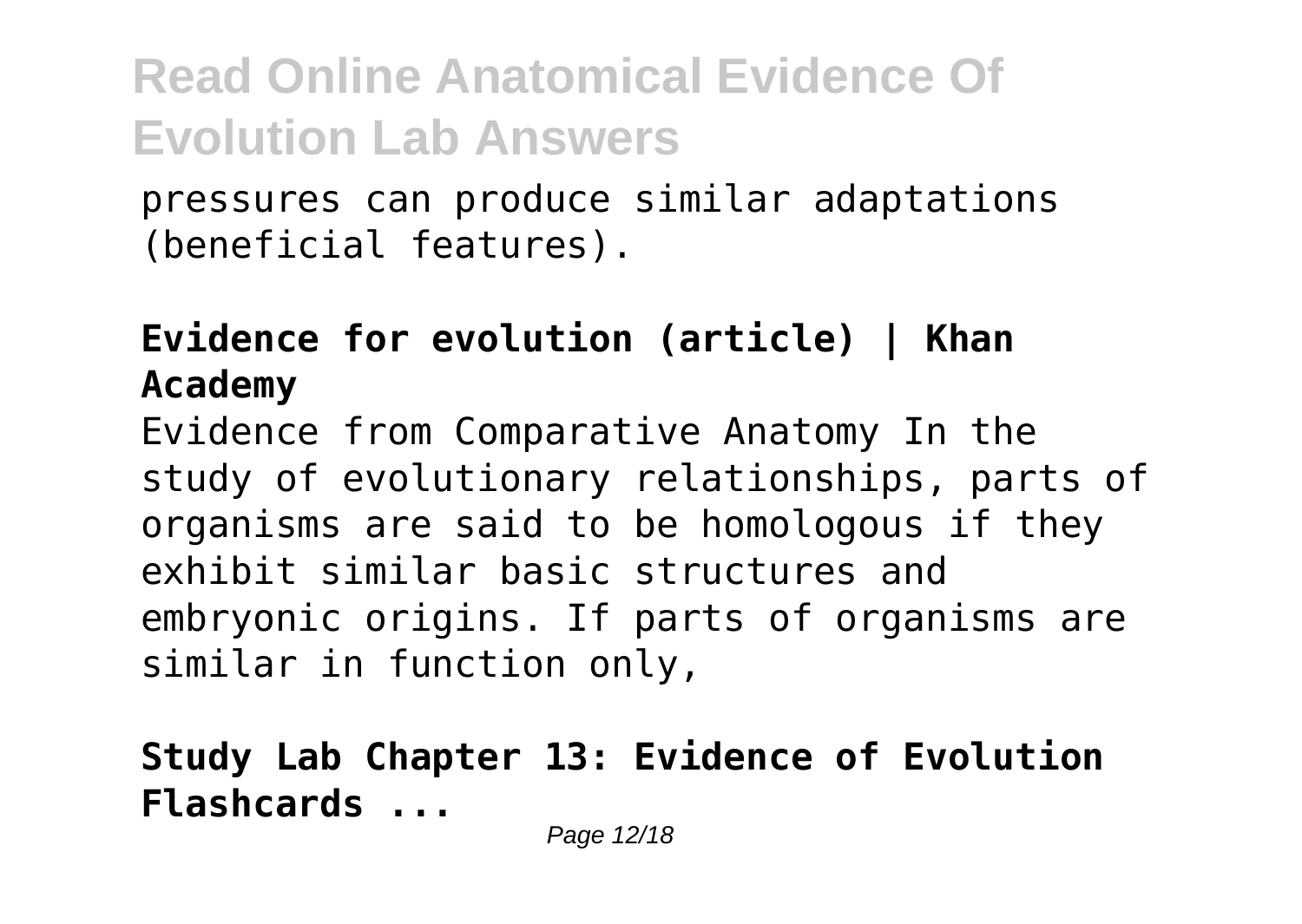pressures can produce similar adaptations (beneficial features).

#### **Evidence for evolution (article) | Khan Academy**

Evidence from Comparative Anatomy In the study of evolutionary relationships, parts of organisms are said to be homologous if they exhibit similar basic structures and embryonic origins. If parts of organisms are similar in function only,

#### **Study Lab Chapter 13: Evidence of Evolution Flashcards ...**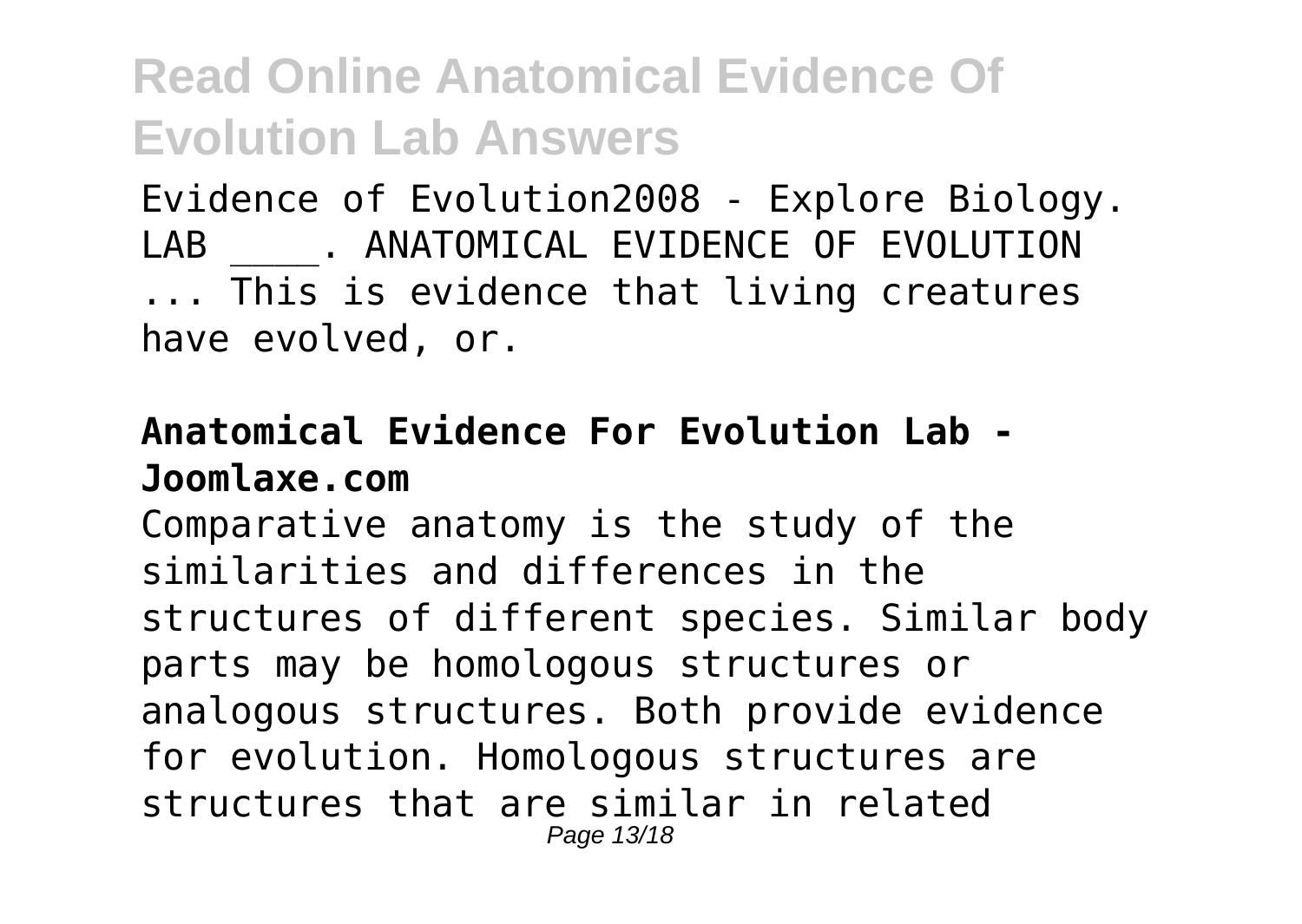Evidence of Evolution2008 - Explore Biology. LAB . ANATOMICAL EVIDENCE OF EVOLUTION ... This is evidence that living creatures have evolved, or.

#### **Anatomical Evidence For Evolution Lab - Joomlaxe.com**

Comparative anatomy is the study of the similarities and differences in the structures of different species. Similar body parts may be homologous structures or analogous structures. Both provide evidence for evolution. Homologous structures are structures that are similar in related Page 13/18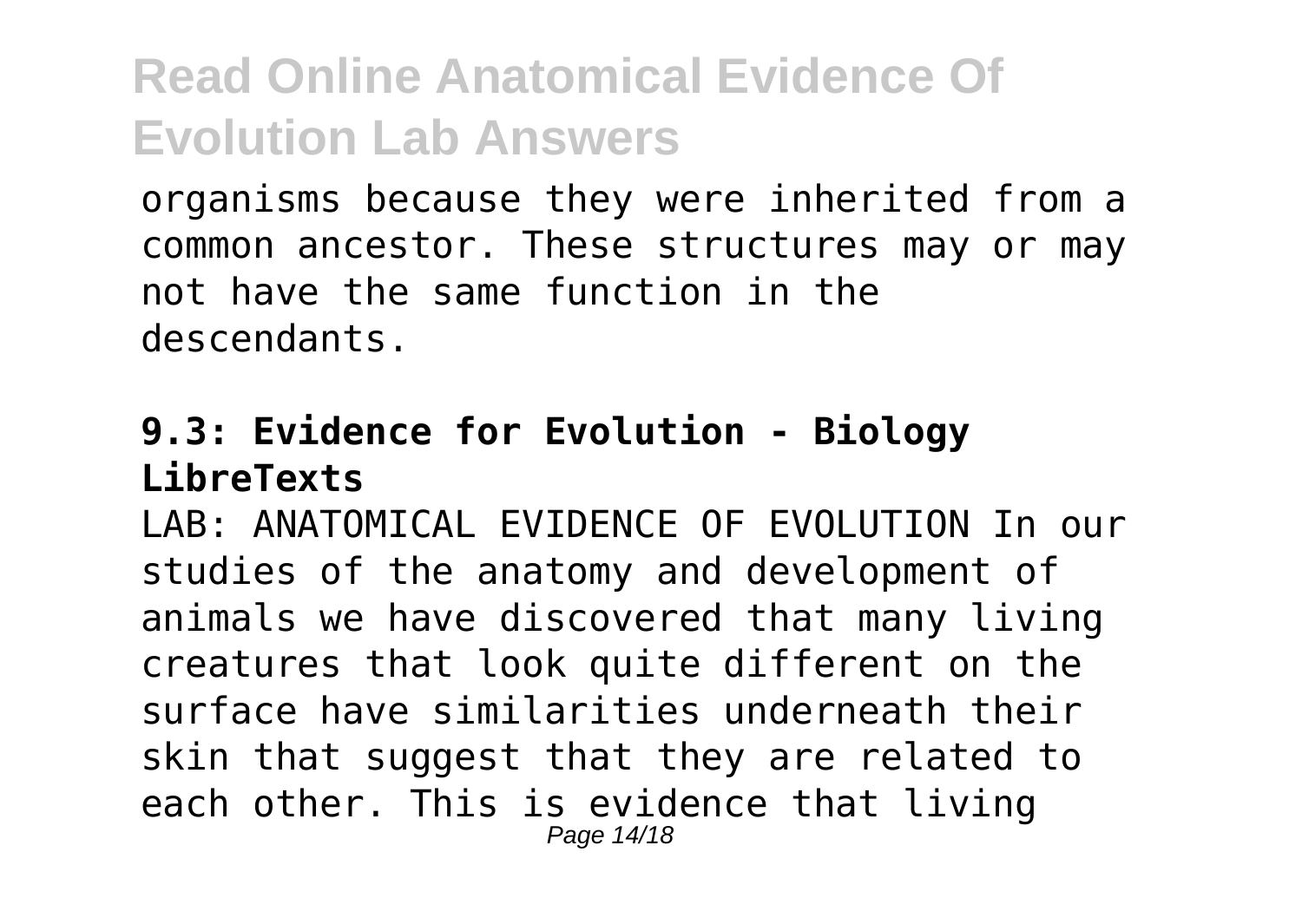organisms because they were inherited from a common ancestor. These structures may or may not have the same function in the descendants.

#### **9.3: Evidence for Evolution - Biology LibreTexts**

LAB: ANATOMICAL EVIDENCE OF EVOLUTION In our studies of the anatomy and development of animals we have discovered that many living creatures that look quite different on the surface have similarities underneath their skin that suggest that they are related to each other. This is evidence that living Page 14/18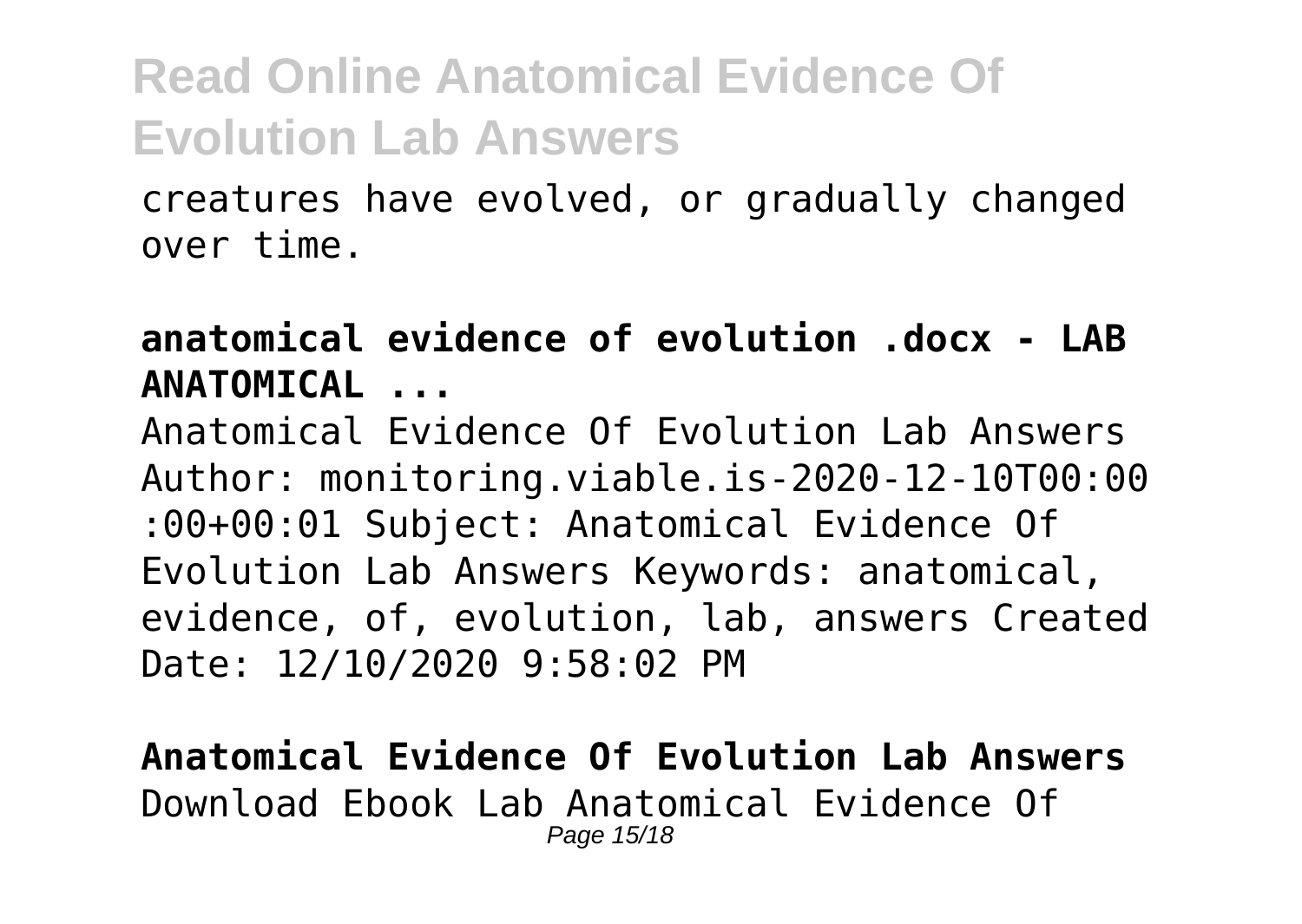creatures have evolved, or gradually changed over time.

**anatomical evidence of evolution .docx - LAB ANATOMICAL ...**

Anatomical Evidence Of Evolution Lab Answers Author: monitoring.viable.is-2020-12-10T00:00 :00+00:01 Subject: Anatomical Evidence Of Evolution Lab Answers Keywords: anatomical, evidence, of, evolution, lab, answers Created Date: 12/10/2020 9:58:02 PM

**Anatomical Evidence Of Evolution Lab Answers** Download Ebook Lab Anatomical Evidence Of Page 15/18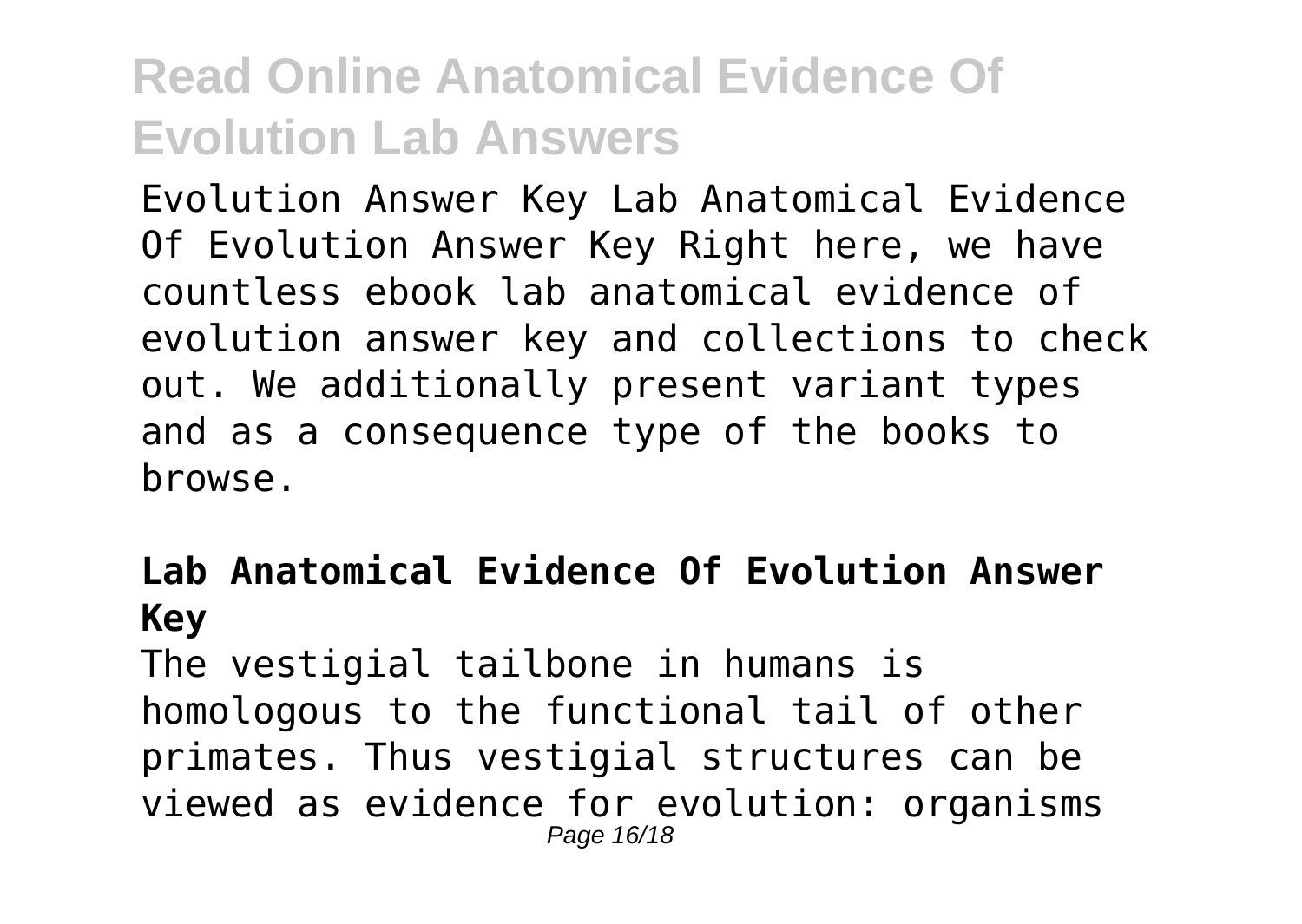Evolution Answer Key Lab Anatomical Evidence Of Evolution Answer Key Right here, we have countless ebook lab anatomical evidence of evolution answer key and collections to check out. We additionally present variant types and as a consequence type of the books to browse.

#### **Lab Anatomical Evidence Of Evolution Answer Key**

The vestigial tailbone in humans is homologous to the functional tail of other primates. Thus vestigial structures can be viewed as evidence for evolution: organisms Page 16/18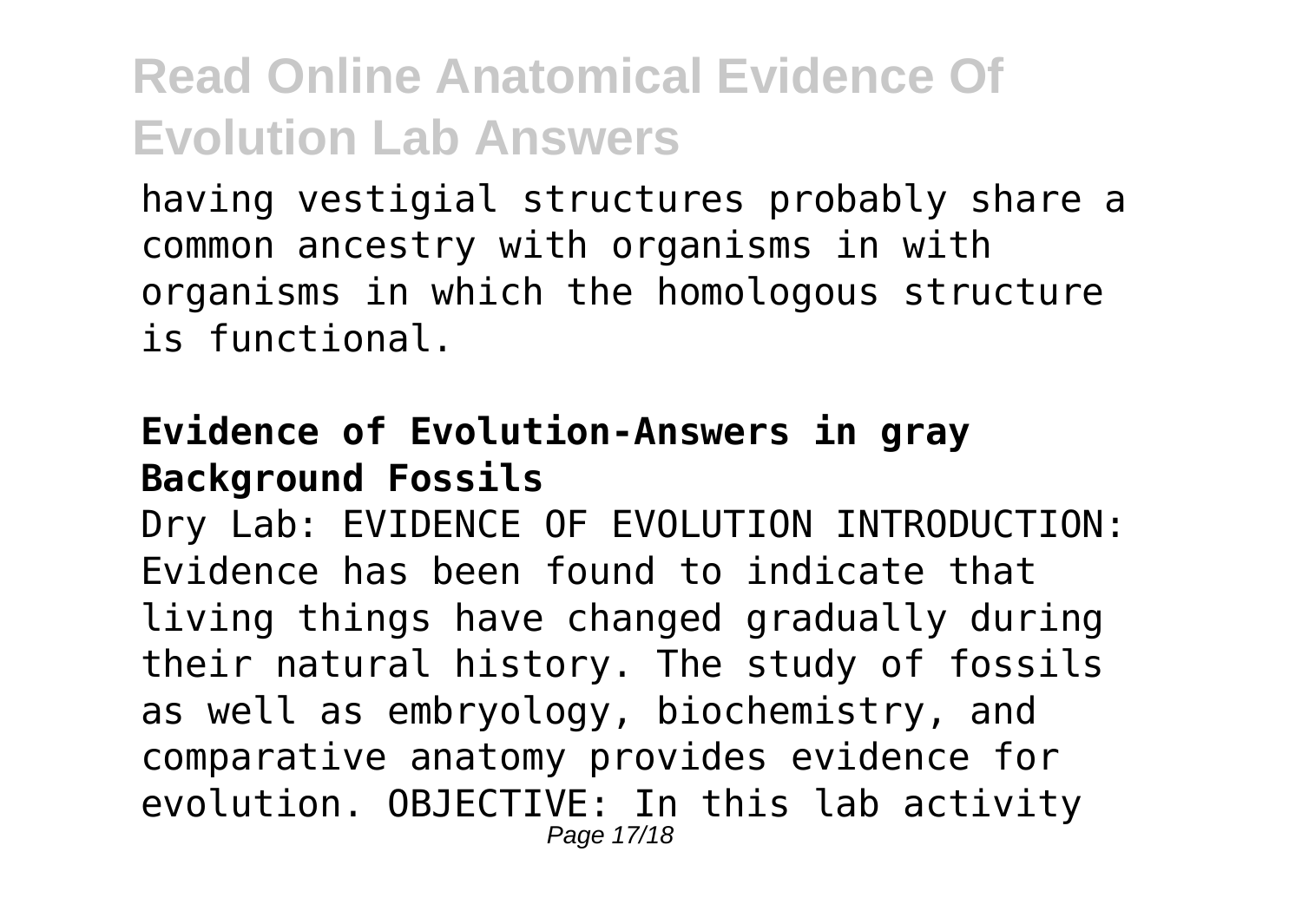having vestigial structures probably share a common ancestry with organisms in with organisms in which the homologous structure is functional.

#### **Evidence of Evolution-Answers in gray Background Fossils**

Dry Lab: EVIDENCE OF EVOLUTION INTRODUCTION: Evidence has been found to indicate that living things have changed gradually during their natural history. The study of fossils as well as embryology, biochemistry, and comparative anatomy provides evidence for evolution. OBJECTIVE: In this lab activity Page 17/18